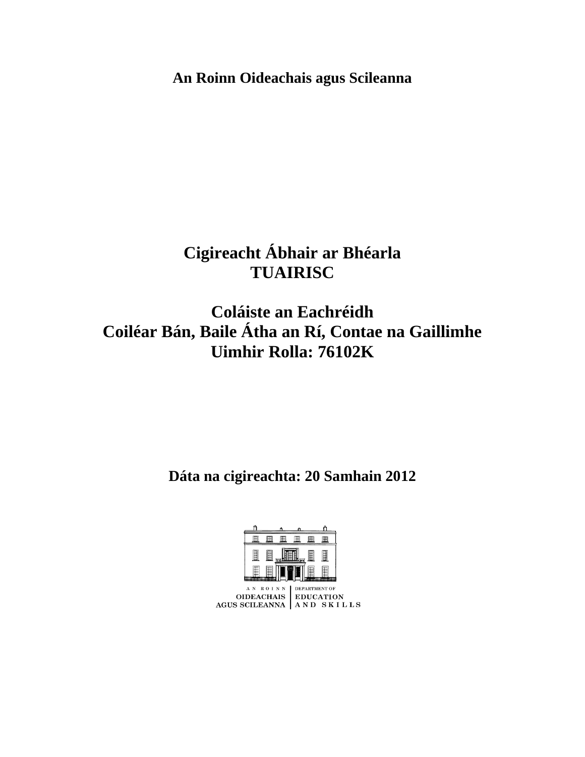**An Roinn Oideachais agus Scileanna**

# **Cigireacht Ábhair ar Bhéarla TUAIRISC**

## **Coláiste an Eachréidh Coiléar Bán, Baile Átha an Rí, Contae na Gaillimhe Uimhir Rolla: 76102K**

**Dáta na cigireachta: 20 Samhain 2012**

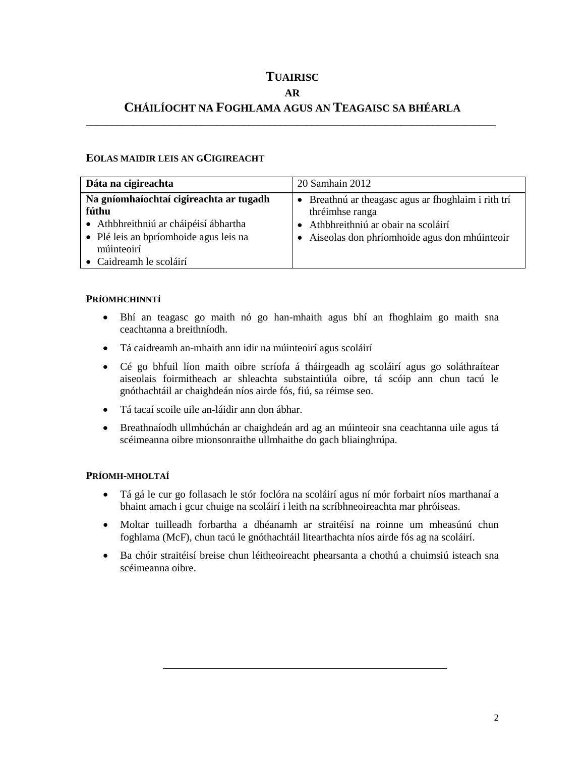## **TUAIRISC**

#### **AR**

### **CHÁILÍOCHT NA FOGHLAMA AGUS AN TEAGAISC SA BHÉARLA \_\_\_\_\_\_\_\_\_\_\_\_\_\_\_\_\_\_\_\_\_\_\_\_\_\_\_\_\_\_\_\_\_\_\_\_\_\_\_\_\_\_\_\_\_\_\_\_\_\_\_\_\_\_\_\_\_\_\_\_\_\_\_\_\_\_\_\_\_\_\_\_\_\_\_\_\_\_**

#### **EOLAS MAIDIR LEIS AN GCIGIREACHT**

| Dáta na cigireachta                                                                                                                                                          | 20 Samhain 2012                                                                                                                                                |
|------------------------------------------------------------------------------------------------------------------------------------------------------------------------------|----------------------------------------------------------------------------------------------------------------------------------------------------------------|
| Na gníomhaíochtaí cigireachta ar tugadh<br>fúthu<br>• Athbhreithniú ar cháipéisí ábhartha<br>• Plé leis an bpríomhoide agus leis na<br>múinteoirí<br>• Caidreamh le scoláirí | • Breathnú ar theagasc agus ar fhoghlaim i rith trí<br>thréimhse ranga<br>Athbhreithniú ar obair na scoláirí<br>• Aiseolas don phríomhoide agus don mhúinteoir |

#### **PRÍOMHCHINNTÍ**

- Bhí an teagasc go maith nó go han-mhaith agus bhí an fhoghlaim go maith sna ceachtanna a breithníodh.
- Tá caidreamh an-mhaith ann idir na múinteoirí agus scoláirí
- Cé go bhfuil líon maith oibre scríofa á tháirgeadh ag scoláirí agus go soláthraítear aiseolais foirmitheach ar shleachta substaintiúla oibre, tá scóip ann chun tacú le gnóthachtáil ar chaighdeán níos airde fós, fiú, sa réimse seo.
- Tá tacaí scoile uile an-láidir ann don ábhar.
- Breathnaíodh ullmhúchán ar chaighdeán ard ag an múinteoir sna ceachtanna uile agus tá scéimeanna oibre mionsonraithe ullmhaithe do gach bliainghrúpa.

#### **PRÍOMH-MHOLTAÍ**

- Tá gá le cur go follasach le stór foclóra na scoláirí agus ní mór forbairt níos marthanaí a bhaint amach i gcur chuige na scoláirí i leith na scríbhneoireachta mar phróiseas.
- Moltar tuilleadh forbartha a dhéanamh ar straitéisí na roinne um mheasúnú chun foghlama (McF), chun tacú le gnóthachtáil litearthachta níos airde fós ag na scoláirí.
- Ba chóir straitéisí breise chun léitheoireacht phearsanta a chothú a chuimsiú isteach sna scéimeanna oibre.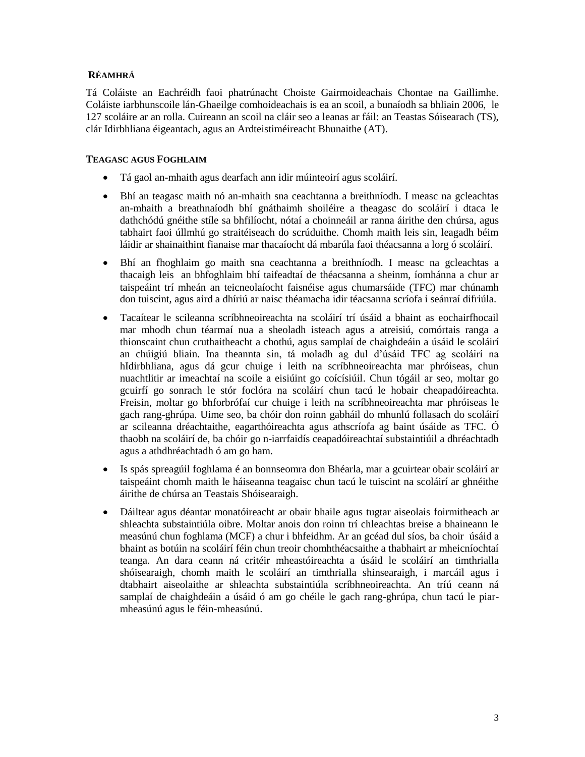#### **RÉAMHRÁ**

Tá Coláiste an Eachréidh faoi phatrúnacht Choiste Gairmoideachais Chontae na Gaillimhe. Coláiste iarbhunscoile lán-Ghaeilge comhoideachais is ea an scoil, a bunaíodh sa bhliain 2006, le 127 scoláire ar an rolla. Cuireann an scoil na cláir seo a leanas ar fáil: an Teastas Sóisearach (TS), clár Idirbhliana éigeantach, agus an Ardteistiméireacht Bhunaithe (AT).

#### **TEAGASC AGUS FOGHLAIM**

- Tá gaol an-mhaith agus dearfach ann idir múinteoirí agus scoláirí.
- Bhí an teagasc maith nó an-mhaith sna ceachtanna a breithníodh. I measc na gcleachtas an-mhaith a breathnaíodh bhí gnáthaimh shoiléire a theagasc do scoláirí i dtaca le dathchódú gnéithe stíle sa bhfilíocht, nótaí a choinneáil ar ranna áirithe den chúrsa, agus tabhairt faoi úllmhú go straitéiseach do scrúduithe. Chomh maith leis sin, leagadh béim láidir ar shainaithint fianaise mar thacaíocht dá mbarúla faoi théacsanna a lorg ó scoláirí.
- Bhí an fhoghlaim go maith sna ceachtanna a breithníodh. I measc na gcleachtas a thacaigh leis an bhfoghlaim bhí taifeadtaí de théacsanna a sheinm, íomhánna a chur ar taispeáint trí mheán an teicneolaíocht faisnéise agus chumarsáide (TFC) mar chúnamh don tuiscint, agus aird a dhíriú ar naisc théamacha idir téacsanna scríofa i seánraí difriúla.
- Tacaítear le scileanna scríbhneoireachta na scoláirí trí úsáid a bhaint as eochairfhocail mar mhodh chun téarmaí nua a sheoladh isteach agus a atreisiú, comórtais ranga a thionscaint chun cruthaitheacht a chothú, agus samplaí de chaighdeáin a úsáid le scoláirí an chúigiú bliain. Ina theannta sin, tá moladh ag dul d'úsáid TFC ag scoláirí na hIdirbhliana, agus dá gcur chuige i leith na scríbhneoireachta mar phróiseas, chun nuachtlitir ar imeachtaí na scoile a eisiúint go coícísiúil. Chun tógáil ar seo, moltar go gcuirfí go sonrach le stór foclóra na scoláirí chun tacú le hobair cheapadóireachta. Freisin, moltar go bhforbrófaí cur chuige i leith na scríbhneoireachta mar phróiseas le gach rang-ghrúpa. Uime seo, ba chóir don roinn gabháil do mhunlú follasach do scoláirí ar scileanna dréachtaithe, eagarthóireachta agus athscríofa ag baint úsáide as TFC. Ó thaobh na scoláirí de, ba chóir go n-iarrfaidís ceapadóireachtaí substaintiúil a dhréachtadh agus a athdhréachtadh ó am go ham.
- Is spás spreagúil foghlama é an bonnseomra don Bhéarla, mar a gcuirtear obair scoláirí ar taispeáint chomh maith le háiseanna teagaisc chun tacú le tuiscint na scoláirí ar ghnéithe áirithe de chúrsa an Teastais Shóisearaigh.
- Dáiltear agus déantar monatóireacht ar obair bhaile agus tugtar aiseolais foirmitheach ar shleachta substaintiúla oibre. Moltar anois don roinn trí chleachtas breise a bhaineann le measúnú chun foghlama (MCF) a chur i bhfeidhm. Ar an gcéad dul síos, ba choir úsáid a bhaint as botúin na scoláirí féin chun treoir chomhthéacsaithe a thabhairt ar mheicníochtaí teanga. An dara ceann ná critéir mheastóireachta a úsáid le scoláirí an timthrialla shóisearaigh, chomh maith le scoláirí an timthrialla shinsearaigh, i marcáil agus i dtabhairt aiseolaithe ar shleachta substaintiúla scríbhneoireachta. An tríú ceann ná samplaí de chaighdeáin a úsáid ó am go chéile le gach rang-ghrúpa, chun tacú le piarmheasúnú agus le féin-mheasúnú.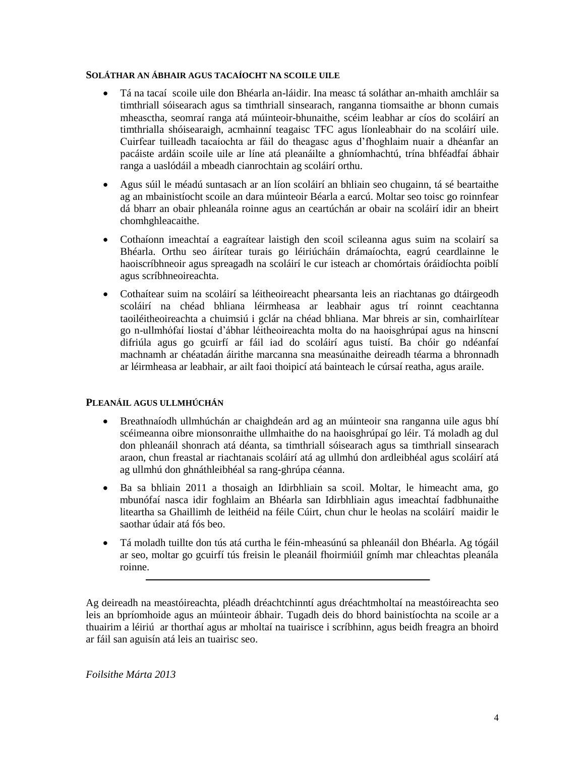#### **SOLÁTHAR AN ÁBHAIR AGUS TACAÍOCHT NA SCOILE UILE**

- Tá na tacaí scoile uile don Bhéarla an-láidir. Ina measc tá soláthar an-mhaith amchláir sa timthriall sóisearach agus sa timthriall sinsearach, ranganna tiomsaithe ar bhonn cumais mheasctha, seomraí ranga atá múinteoir-bhunaithe, scéim leabhar ar cíos do scoláirí an timthrialla shóisearaigh, acmhainní teagaisc TFC agus líonleabhair do na scoláirí uile. Cuirfear tuilleadh tacaíochta ar fáil do theagasc agus d'fhoghlaim nuair a dhéanfar an pacáiste ardáin scoile uile ar líne atá pleanáilte a ghníomhachtú, trína bhféadfaí ábhair ranga a uaslódáil a mbeadh cianrochtain ag scoláirí orthu.
- Agus súil le méadú suntasach ar an líon scoláirí an bhliain seo chugainn, tá sé beartaithe ag an mbainistíocht scoile an dara múinteoir Béarla a earcú. Moltar seo toisc go roinnfear dá bharr an obair phleanála roinne agus an ceartúchán ar obair na scoláirí idir an bheirt chomhghleacaithe.
- Cothaíonn imeachtaí a eagraítear laistigh den scoil scileanna agus suim na scolairí sa Bhéarla. Orthu seo áirítear turais go léiriúcháin drámaíochta, eagrú ceardlainne le haoiscríbhneoir agus spreagadh na scoláirí le cur isteach ar chomórtais óráidíochta poiblí agus scríbhneoireachta.
- Cothaítear suim na scoláirí sa léitheoireacht phearsanta leis an riachtanas go dtáirgeodh scoláirí na chéad bhliana léirmheasa ar leabhair agus trí roinnt ceachtanna taoiléitheoireachta a chuimsiú i gclár na chéad bhliana. Mar bhreis ar sin, comhairlítear go n-ullmhófaí liostaí d'ábhar léitheoireachta molta do na haoisghrúpaí agus na hinscní difriúla agus go gcuirfí ar fáil iad do scoláirí agus tuistí. Ba chóir go ndéanfaí machnamh ar chéatadán áirithe marcanna sna measúnaithe deireadh téarma a bhronnadh ar léirmheasa ar leabhair, ar ailt faoi thoipicí atá bainteach le cúrsaí reatha, agus araile.

#### **PLEANÁIL AGUS ULLMHÚCHÁN**

- Breathnaíodh ullmhúchán ar chaighdeán ard ag an múinteoir sna ranganna uile agus bhí scéimeanna oibre mionsonraithe ullmhaithe do na haoisghrúpaí go léir. Tá moladh ag dul don phleanáil shonrach atá déanta, sa timthriall sóisearach agus sa timthriall sinsearach araon, chun freastal ar riachtanais scoláirí atá ag ullmhú don ardleibhéal agus scoláirí atá ag ullmhú don ghnáthleibhéal sa rang-ghrúpa céanna.
- Ba sa bhliain 2011 a thosaigh an Idirbhliain sa scoil. Moltar, le himeacht ama, go mbunófaí nasca idir foghlaim an Bhéarla san Idirbhliain agus imeachtaí fadbhunaithe liteartha sa Ghaillimh de leithéid na féile Cúirt, chun chur le heolas na scoláirí maidir le saothar údair atá fós beo.
- Tá moladh tuillte don tús atá curtha le féin-mheasúnú sa phleanáil don Bhéarla. Ag tógáil ar seo, moltar go gcuirfí tús freisin le pleanáil fhoirmiúil gnímh mar chleachtas pleanála roinne.

Ag deireadh na meastóireachta, pléadh dréachtchinntí agus dréachtmholtaí na meastóireachta seo leis an bpríomhoide agus an múinteoir ábhair. Tugadh deis do bhord bainistíochta na scoile ar a thuairim a léiriú ar thorthaí agus ar mholtaí na tuairisce i scríbhinn, agus beidh freagra an bhoird ar fáil san aguisín atá leis an tuairisc seo.

*Foilsithe Márta 2013*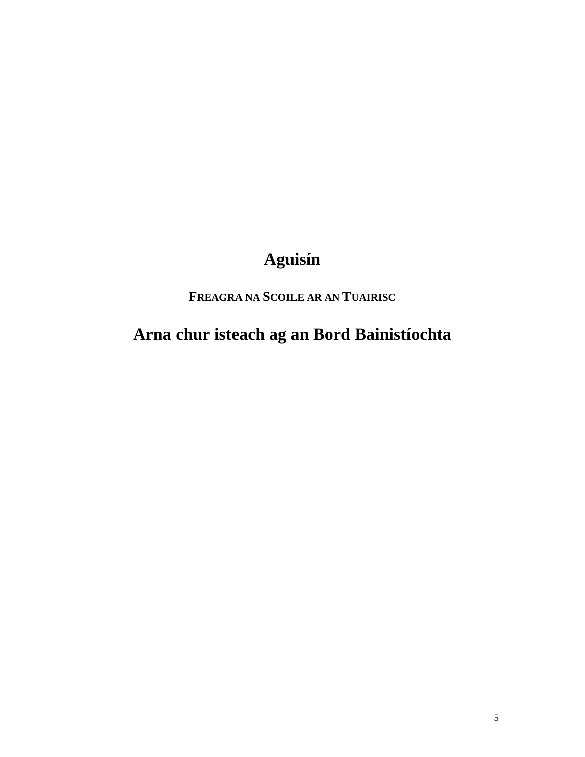# Aguisín

FREAGRA NA SCOILE AR AN TUAIRISC

Arna chur isteach ag an Bord Bainistíochta